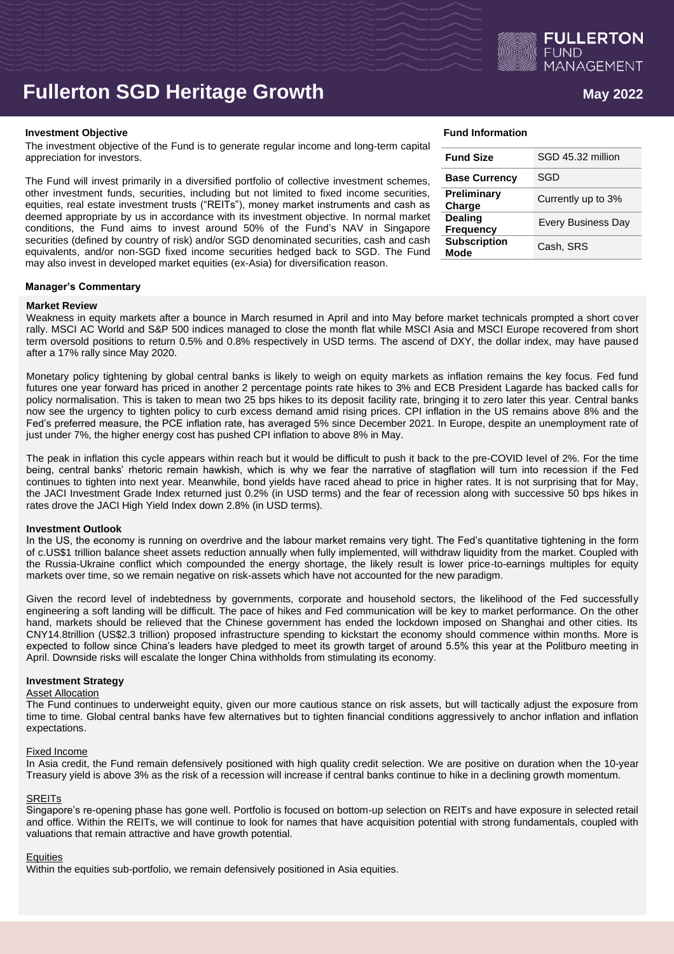

# **Fullerton SGD Heritage Growth <b>Age 10** May 2022

#### **Investment Objective Fund Information Fund Information**

The investment objective of the Fund is to generate regular income and long-term capital appreciation for investors.

The Fund will invest primarily in a diversified portfolio of collective investment schemes, other investment funds, securities, including but not limited to fixed income securities, equities, real estate investment trusts ("REITs"), money market instruments and cash as deemed appropriate by us in accordance with its investment objective. In normal market conditions, the Fund aims to invest around 50% of the Fund's NAV in Singapore securities (defined by country of risk) and/or SGD denominated securities, cash and cash equivalents, and/or non-SGD fixed income securities hedged back to SGD. The Fund may also invest in developed market equities (ex-Asia) for diversification reason.

| Fund Information |  |
|------------------|--|
|                  |  |

| <b>Fund Size</b>                   | SGD 45.32 million         |
|------------------------------------|---------------------------|
| <b>Base Currency</b>               | SGD                       |
| Preliminary<br>Charge              | Currently up to 3%        |
| <b>Dealing</b><br><b>Frequency</b> | <b>Every Business Day</b> |
| <b>Subscription</b><br>Mode        | Cash, SRS                 |

### **Manager's Commentary**

#### **Market Review**

Weakness in equity markets after a bounce in March resumed in April and into May before market technicals prompted a short cover rally. MSCI AC World and S&P 500 indices managed to close the month flat while MSCI Asia and MSCI Europe recovered from short term oversold positions to return 0.5% and 0.8% respectively in USD terms. The ascend of DXY, the dollar index, may have paused after a 17% rally since May 2020.

Monetary policy tightening by global central banks is likely to weigh on equity markets as inflation remains the key focus. Fed fund futures one year forward has priced in another 2 percentage points rate hikes to 3% and ECB President Lagarde has backed calls for policy normalisation. This is taken to mean two 25 bps hikes to its deposit facility rate, bringing it to zero later this year. Central banks now see the urgency to tighten policy to curb excess demand amid rising prices. CPI inflation in the US remains above 8% and the Fed's preferred measure, the PCE inflation rate, has averaged 5% since December 2021. In Europe, despite an unemployment rate of just under 7%, the higher energy cost has pushed CPI inflation to above 8% in May.

The peak in inflation this cycle appears within reach but it would be difficult to push it back to the pre-COVID level of 2%. For the time being, central banks' rhetoric remain hawkish, which is why we fear the narrative of stagflation will turn into recession if the Fed continues to tighten into next year. Meanwhile, bond yields have raced ahead to price in higher rates. It is not surprising that for May, the JACI Investment Grade Index returned just 0.2% (in USD terms) and the fear of recession along with successive 50 bps hikes in rates drove the JACI High Yield Index down 2.8% (in USD terms).

#### **Investment Outlook**

In the US, the economy is running on overdrive and the labour market remains very tight. The Fed's quantitative tightening in the form of c.US\$1 trillion balance sheet assets reduction annually when fully implemented, will withdraw liquidity from the market. Coupled with the Russia-Ukraine conflict which compounded the energy shortage, the likely result is lower price-to-earnings multiples for equity markets over time, so we remain negative on risk-assets which have not accounted for the new paradigm.

Given the record level of indebtedness by governments, corporate and household sectors, the likelihood of the Fed successfully engineering a soft landing will be difficult. The pace of hikes and Fed communication will be key to market performance. On the other hand, markets should be relieved that the Chinese government has ended the lockdown imposed on Shanghai and other cities. Its CNY14.8trillion (US\$2.3 trillion) proposed infrastructure spending to kickstart the economy should commence within months. More is expected to follow since China's leaders have pledged to meet its growth target of around 5.5% this year at the Politburo meeting in April. Downside risks will escalate the longer China withholds from stimulating its economy.

# **Investment Strategy**

#### Asset Allocation

The Fund continues to underweight equity, given our more cautious stance on risk assets, but will tactically adjust the exposure from time to time. Global central banks have few alternatives but to tighten financial conditions aggressively to anchor inflation and inflation expectations.

#### Fixed Income

In Asia credit, the Fund remain defensively positioned with high quality credit selection. We are positive on duration when the 10-year Treasury yield is above 3% as the risk of a recession will increase if central banks continue to hike in a declining growth momentum.

### **SREITs**

Singapore's re-opening phase has gone well. Portfolio is focused on bottom-up selection on REITs and have exposure in selected retail and office. Within the REITs, we will continue to look for names that have acquisition potential with strong fundamentals, coupled with valuations that remain attractive and have growth potential.

#### **Equities**

Within the equities sub-portfolio, we remain defensively positioned in Asia equities.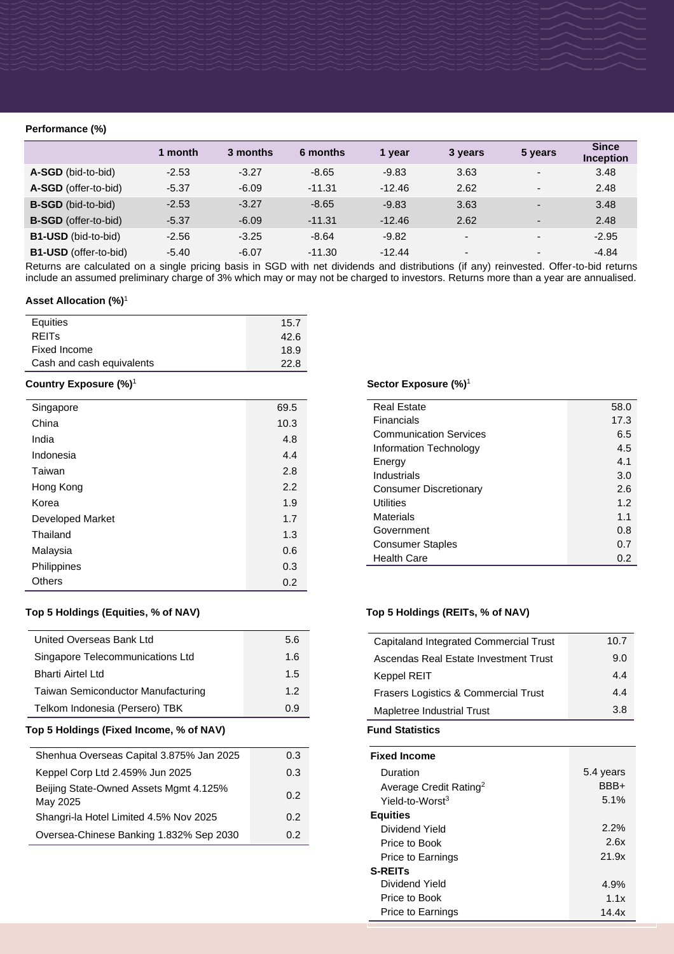# **Performance (%)**

|                              | 1 month | 3 months | 6 months | 1 year   | 3 years                  | 5 years                  | <b>Since</b><br><b>Inception</b> |
|------------------------------|---------|----------|----------|----------|--------------------------|--------------------------|----------------------------------|
| A-SGD (bid-to-bid)           | $-2.53$ | $-3.27$  | $-8.65$  | $-9.83$  | 3.63                     | $\overline{\phantom{0}}$ | 3.48                             |
| A-SGD (offer-to-bid)         | $-5.37$ | $-6.09$  | $-11.31$ | $-12.46$ | 2.62                     | $\overline{\phantom{0}}$ | 2.48                             |
| <b>B-SGD</b> (bid-to-bid)    | $-2.53$ | $-3.27$  | $-8.65$  | $-9.83$  | 3.63                     | $\overline{\phantom{0}}$ | 3.48                             |
| <b>B-SGD</b> (offer-to-bid)  | $-5.37$ | $-6.09$  | $-11.31$ | $-12.46$ | 2.62                     | $\overline{\phantom{0}}$ | 2.48                             |
| <b>B1-USD</b> (bid-to-bid)   | $-2.56$ | $-3.25$  | $-8.64$  | $-9.82$  | $\overline{\phantom{0}}$ | $\overline{\phantom{0}}$ | $-2.95$                          |
| <b>B1-USD</b> (offer-to-bid) | $-5.40$ | $-6.07$  | $-11.30$ | $-12.44$ | $\overline{\phantom{0}}$ | $\overline{\phantom{a}}$ | $-4.84$                          |

Returns are calculated on a single pricing basis in SGD with net dividends and distributions (if any) reinvested. Offer-to-bid returns include an assumed preliminary charge of 3% which may or may not be charged to investors. Returns more than a year are annualised.

# **Asset Allocation (%)**<sup>1</sup>

| Equities                  | 15.7 |
|---------------------------|------|
| <b>REITS</b>              | 42.6 |
| Fixed Income              | 18.9 |
| Cash and cash equivalents | 22.8 |

# **Country Exposure (%)**<sup>1</sup>

| Singapore               | 69.5 |
|-------------------------|------|
| China                   | 10.3 |
| India                   | 4.8  |
| Indonesia               | 4.4  |
| Taiwan                  | 2.8  |
| Hong Kong               | 2.2  |
| Korea                   | 1.9  |
| <b>Developed Market</b> | 1.7  |
| Thailand                | 1.3  |
| Malaysia                | 0.6  |
| Philippines             | 0.3  |
| Others                  | 0.2  |

# **Top 5 Holdings (Equities, % of NAV) Top 5 Holdings (REITs, % of NAV)**

| United Overseas Bank Ltd                  | 5.6 |
|-------------------------------------------|-----|
| Singapore Telecommunications Ltd          | 1.6 |
| <b>Bharti Airtel Ltd</b>                  | 1.5 |
| <b>Taiwan Semiconductor Manufacturing</b> | 12  |
| Telkom Indonesia (Persero) TBK            | 0 9 |

# Top 5 Holdings (Fixed Income, % of NAV) **Fund Statistics**

| Shenhua Overseas Capital 3.875% Jan 2025           | 0.3 |
|----------------------------------------------------|-----|
| Keppel Corp Ltd 2.459% Jun 2025                    | 0.3 |
| Beijing State-Owned Assets Mgmt 4.125%<br>May 2025 | 0.2 |
| Shangri-la Hotel Limited 4.5% Nov 2025             | 0.2 |
| Oversea-Chinese Banking 1.832% Sep 2030            | 0 2 |

#### **Sector Exposure (%)** 1

| Real Estate                   | 58.0 |
|-------------------------------|------|
| Financials                    | 17.3 |
| <b>Communication Services</b> | 6.5  |
| Information Technology        | 4.5  |
| Energy                        | 4.1  |
| Industrials                   | 3.0  |
| <b>Consumer Discretionary</b> | 2.6  |
| Utilities                     | 1.2  |
| Materials                     | 1.1  |
| Government                    | 0.8  |
| <b>Consumer Staples</b>       | 0.7  |
| <b>Health Care</b>            | 0.2  |

| Capitaland Integrated Commercial Trust | 10.7 |
|----------------------------------------|------|
| Ascendas Real Estate Investment Trust  | 9.0  |
| Keppel REIT                            | 44   |
| Frasers Logistics & Commercial Trust   | 44   |
| Mapletree Industrial Trust             | 3 R  |
|                                        |      |

| <b>Fixed Income</b>                |           |
|------------------------------------|-----------|
| Duration                           | 5.4 years |
| Average Credit Rating <sup>2</sup> | BBB+      |
| Yield-to-Worst <sup>3</sup>        | 5.1%      |
| <b>Equities</b>                    |           |
| Dividend Yield                     | $2.2\%$   |
| Price to Book                      | 2.6x      |
| Price to Earnings                  | 21.9x     |
| <b>S-REITS</b>                     |           |
| Dividend Yield                     | 4.9%      |
| Price to Book                      | 1.1x      |
| <b>Price to Earnings</b>           | 14.4x     |